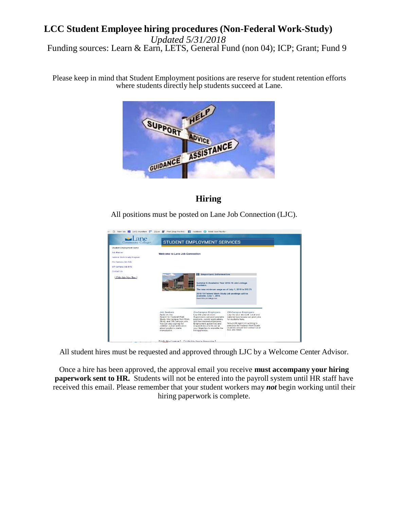#### **LCC Student Employee hiring procedures (Non-Federal Work-Study)**  *Updated 5/31/2018* Funding sources: Learn & Earn, LETS, General Fund (non 04); ICP; Grant; Fund 9

Please keep in mind that Student Employment positions are reserve for student retention efforts where students directly help students succeed at Lane.



# **Hiring**

All positions must be posted on Lane Job Connection (LJC).



All student hires must be requested and approved through LJC by a Welcome Center Advisor.

Once a hire has been approved, the approval email you receive **must accompany your hiring paperwork sent to HR.** Students will not be entered into the payroll system until HR staff have received this email. Please remember that your student workers may *not* begin working until their hiring paperwork is complete.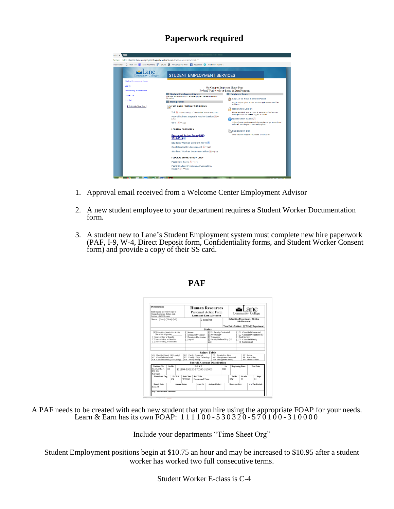## **Paperwork required**

| nd Employm                          | □ New Tab 图 SARS Anywhere <sup>图1</sup> 25Live <i>图</i> Print Shop Pro Web! 图 Facebook 2 Meal Train Plus for © |                                                                                                     |
|-------------------------------------|----------------------------------------------------------------------------------------------------------------|-----------------------------------------------------------------------------------------------------|
| l ane<br>Community College-         | <b>STUDENT EMPLOYMENT SERVICES</b>                                                                             |                                                                                                     |
| <b>Student Employment Home</b>      |                                                                                                                |                                                                                                     |
| Log In<br>Request Log-in Permission | On-Campus Employer Home Page<br>Federal Work-Study or Learn & Earn Program                                     |                                                                                                     |
| Contact Us                          | <b>Student Employment News</b>                                                                                 | <b>Fmployer Tools</b>                                                                               |
|                                     | Welcome Lane employers to your student employment web feature, Lane Job<br>Connection                          | Log-In to Your Control Panel                                                                        |
| Log Out                             | <b>Hiring Forms</b>                                                                                            | Log-in to post tobs, access student apolications, and hire                                          |
| [Edit this Nav Bar.]                | <b>FWS AND LEARN &amp; EARN FORMS</b>                                                                          | students.<br>Request a Log-In                                                                       |
|                                     | I-9 A ** (447) a copy of the student's SS# is required.                                                        | Please establish your account if you are an On-Campus<br>Employer who has never logged in before.   |
|                                     | Payroll Direct Deposit Authorization A **<br>(262)                                                             | Ouick Start Guide                                                                                   |
|                                     | $W-4$ $\rightarrow$ $W$ = $(100)$                                                                              | **(132) Basic quidebook to help employers get started and<br>maintain on-campus student employment. |
|                                     | <b>LEARN &amp; EARN ONLY</b>                                                                                   | <b>Suggestion Box</b>                                                                               |
|                                     | <b>Personnel Action Form (PAE)</b><br>2018-2019                                                                | Send us your suggestions, ideas, or concerns!                                                       |
|                                     | <b>Student Worker Consent Form #1</b>                                                                          |                                                                                                     |
|                                     | Confidentiality Agreement E**(49)                                                                              |                                                                                                     |
|                                     | Student Worker Documentation A ** (45)                                                                         |                                                                                                     |
|                                     | <b>FEDERAL WORK-STUDY ONLY</b>                                                                                 |                                                                                                     |
|                                     | FWS Hire Form A ** (39)                                                                                        |                                                                                                     |
|                                     | <b>FWS Student Employee Evaluation</b><br>Report A ** (50)                                                     |                                                                                                     |

- 1. Approval email received from a Welcome Center Employment Advisor
- 2. A new student employee to your department requires a Student Worker Documentation form.
- 3. A student new to Lane's Student Employment system must complete new hire paperwork (PAF, I-9, W-4, Direct Deposit form, Confidentiality forms, and Student Worker Consent form) and provide a copy of their SS card.



#### **PAF**

A PAF needs to be created with each new student that you hire using the appropriate FOAP for your needs. Learn & Earn has its own FOAP:  $111100 - 530320 - 570100 - 310000$ 

Include your departments "Time Sheet Org"

Student Employment positions begin at \$10.75 an hour and may be increased to \$10.95 after a student worker has worked two full consecutive terms.

Student Worker E-class is C-4